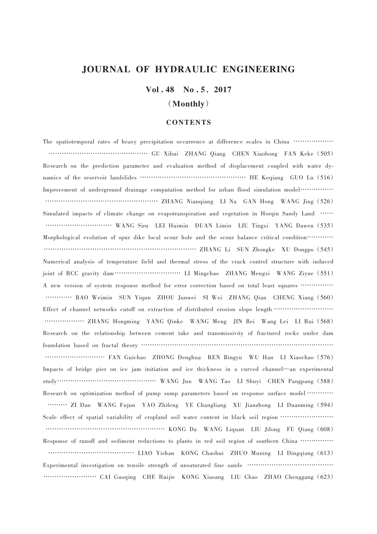## JOURNAL OF HYDRAULIC ENGINEERING

Vol. 48 No. 5, 2017

### (Monthly)

#### **CONTENTS**

The spatiotemporal rates of heavy precipitation occurrence at difference scales in China ……………… ……………………………………… GU Xihui ZHANG Qiang CHEN Xiaohong FAN Keke (505) Research on the prediction parameter and evaluation method of displacement coupled with water dynamics of the reservoir landslides ………………………………………… HE Keqiang GUO Lu (516) Improvement of underground drainage computation method for urban flood simulation model…………… …………………………………………… ZHANG Nianqiang LI Na GAN Hong WANG Jing (526) Simulated impacts of climate change on evapotranspiration and vegetation in Horqin Sandy Land …… ………………………… WANG Siru LEI Huimin DUAN Limin LIU Tingxi YANG Dawen (535) Morphological evolution of spur dike local scour hole and the scour balance critical condition………… …………………………………………………………… ZHANG Li SUN Zhongke XU Dongpo (545) Numerical analysis of temperature field and thermal stress of the crack control structure with induced joint of RCC gravity dam………………………… LI Mingchao ZHANG Mengxi WANG Ziyue (551) A new version of system response method for error correction based on total least squares …………… ………… BAO Weimin SUN Yiqun ZHOU Junwei SI Wei ZHANG Qian CHENG Xiang (560) Effect of channel networks cutoff on extraction of distributed erosion slope length ……………………… ……………… ZHANG Hongming YANG Qinke WANG Meng JIN Bei Wang Lei LI Rui (568) Research on the relationship between cement take and transmissivity of fractured rocks under dam foundation based on fractal theory …………………………………………………………………………… ……………………… FAN Guichao ZHONG Denghua REN Bingyu WU Han LI Xiaochao (576) Impacts of bridge pier on ice jam initiation and ice thickness in a curved channel—an experimental study……………………………………… WANG Jun WANG Tao LI Shuyi CHEN Pangpang (588) Research on optimization method of pump sump parameters based on response surface model ………… ……… ZI Dan WANG Fujun YAO Zhifeng YE Changliang XU Jianzhong LI Duanming (594) Scale effect of spatial variability of cropland soil water content in black soil region …………………… ……………………………………………… KONG Da WANG Liquan LIU Jilong FU Qiang (608) Response of runoff and sediment reductions to plants in red soil region of southern China …………… ………………………………… LIAO Yishan KONG Chaohui ZHUO Muning LI Dingqiang (613) Experimental investigation on tensile strength of unsaturated fine sands ………………………………… …………………… CAI Guoqing CHE Ruijie KONG Xiaoang LIU Chao ZHAO Chenggang (623)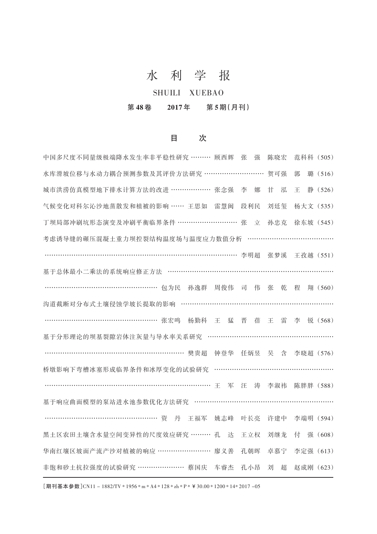# 水 利 学 报

## SHUILI XUEBAO

## 第 48 卷 2017 年 第 5 期(月刊)

## 目 次

| 中国多尺度不同量级极端降水发生率非平稳性研究 ……… 顾西辉                 |     | 张<br>强 | 陈晓宏           | 范科科 (505) |         |
|------------------------------------------------|-----|--------|---------------|-----------|---------|
| 水库滑坡位移与水动力耦合预测参数及其评价方法研究 ………………………             |     |        | 贺可强           | 郭         | 璐 (516) |
| 城市洪涝仿真模型地下排水计算方法的改进 ……………… 张念强                 |     | 李<br>娜 | 甘<br>泓        | 王         | 静 (526) |
| 气候变化对科尔沁沙地蒸散发和植被的影响 …… 王思如                     | 雷慧闽 | 段利民    | 刘廷玺           | 杨大文 (535) |         |
| 丁坝局部冲刷坑形态演变及冲刷平衡临界条件 ……………………… 张               |     | 立      | 孙忠克           | 徐东坡 (545) |         |
| 考虑诱导缝的碾压混凝土重力坝控裂结构温度场与温度应力数值分析                 |     |        |               |           |         |
| ……………………………………………………………………… 李明超                |     |        | 张梦溪 王孜越 (551) |           |         |
| 基于总体最小二乘法的系统响应修正方法 ……………………………………………………………………… |     |        |               |           |         |
| …………………………………………… 包为民 孙逸群                      | 周俊伟 | 司 伟    | 张<br>乾        | 程         | 翔 (560) |
| 沟道截断对分布式土壤侵蚀学坡长提取的影响 ……………………………………………………………   |     |        |               |           |         |
| …………………………………………… 张宏鸣 杨勤科 王 猛                  |     | 晋<br>蓓 | 雷<br>王        | 李         | 锐 (568) |
| 基于分形理论的坝基裂隙岩体注灰量与导水率关系研究 …………………………………………………   |     |        |               |           |         |
| …………………………………………………… 樊贵超                       | 钟登华 | 任炳昱    | 吴 含           | 李晓超 (576) |         |
| 桥墩影响下弯槽冰塞形成临界条件和冰厚变化的试验研究                      |     |        |               |           |         |
|                                                | 军   | 汪 涛    | 李淑祎           | 陈胖胖 (588) |         |
| 基于响应曲面模型的泵站进水池参数优化方法研究 ………………………………………………………   |     |        |               |           |         |
| …………………………………………… 资 丹 王福军                      | 姚志峰 | 叶长亮    | 许建中           | 李端明 (594) |         |
| 黑土区农田土壤含水量空间变异性的尺度效应研究 ……… 孔                   | 达   | 王立权    | 刘继龙           | 付         | 强 (608) |
| 华南红壤区坡面产流产沙对植被的响应 ……………………                     | 廖义善 | 孔朝晖    | 卓慕宁           | 李定强 (613) |         |
| 非饱和砂土抗拉强度的试验研究 ………………… 蔡国庆                     | 车睿杰 | 孔小昂    | 刘<br>超        | 赵成刚 (623) |         |
|                                                |     |        |               |           |         |

[期刊基本参数]CN11 - 1882/TV \* 1956 \* m \* A4 \* 128 \* zh \* P \* ¥30.00 \* 1200 \* 14\* 2017 -05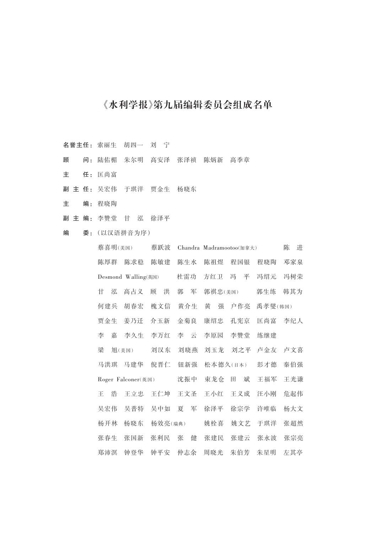## 《水利学报》第九届编辑委员会组成名单

- 名誉主任: 索丽生 胡四一 刘 宁
- 顾 问: 陆佑楣 朱尔明 高安泽 张泽祯 陈炳新 高季章
- 主 任: 匡尚富
- 副 主 任: 吴宏伟 于琪洋 贾金生 杨晓东
- 主 编: 程晓陶
- 副 主 编: 李赞堂 甘 泓 徐泽平
- 编 委:(以汉语拼音为序)

|                    |     | 蔡喜明(美国) |                     | 蔡跃波     |        | Chandra Madramootoo(加拿大) |        |         | 陈<br>进 |
|--------------------|-----|---------|---------------------|---------|--------|--------------------------|--------|---------|--------|
|                    | 陈厚群 |         | 陈求稳                 | 陈敏建     | 陈生水    | 陈祖煜                      | 程国银    | 程晓陶     | 邓家泉    |
|                    |     |         | Desmond Walling(英国) |         | 杜雷功    | 方红卫                      | 平<br>冯 | 冯绍元     | 冯树荣    |
|                    | 甘   | 泓       | 高占义                 | 洪<br>顾  | 军<br>郭 | 郭祺忠(美国)                  |        | 郭生练     | 韩其为    |
|                    | 何建兵 |         | 胡春宏                 | 槐文信     | 黄介生    | 黄<br>强                   | 户作亮    | 禹孝燮(韩国) |        |
|                    | 贾金生 |         | 姜乃迁                 | 介玉新     | 金菊良    | 康绍忠                      | 孔宪京    | 匡尚富     | 李纪人    |
|                    | 李   | 嘉       | 李久生                 | 李万红     | 李<br>귱 | 李原园                      | 李赞堂    | 练继建     |        |
|                    | 梁   |         | 旭(美国)               | 刘汉东     | 刘晓燕    | 刘玉龙                      | 刘之平    | 卢金友     | 卢文喜    |
|                    | 马洪琪 |         | 马建华                 | 倪晋仁     | 钮新强    | 松本德久(日本)                 |        | 彭才德     | 秦伯强    |
| Roger Falconer(英国) |     |         | 沈振中                 | 東龙仓     | 斌<br>⊞ | 王福军                      | 王光谦    |         |        |
|                    | Ŧ.  | 浩       | 王立忠                 | 王仁坤     | 王文圣    | 王小红                      | 王义成    | 汪小刚     | 危起伟    |
|                    | 吴宏伟 |         | 吴普特                 | 吴中如     | 军<br>夏 | 徐泽平                      | 徐宗学    | 许唯临     | 杨大文    |
|                    | 杨开林 |         | 杨晓东                 | 杨效亮(瑞典) |        | 姚栓喜                      | 姚文艺    | 于琪洋     | 张超然    |
|                    | 张春生 |         | 张国新                 | 张利民     | 张<br>健 | 张建民                      | 张建云    | 张永波     | 张宗亮    |
|                    | 郑沛溟 |         | 钟登华                 | 钟平安     | 仲志余    | 周晓光                      | 朱伯芳    | 朱星明     | 左其亭    |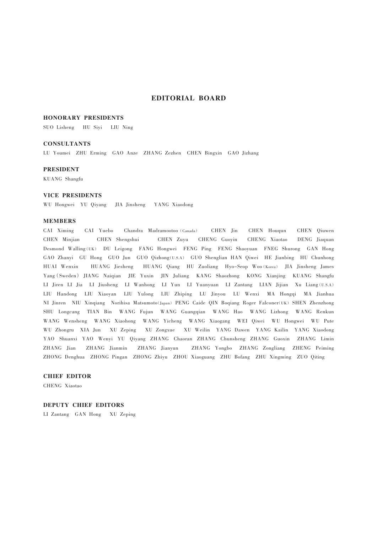#### EDITORIAL BOARD

#### HONORARY PRESIDENTS

SUO Lisheng HU Siyi LIU Ning

#### **CONSULTANTS**

LU Youmei ZHU Erming GAO Anze ZHANG Zezhen CHEN Bingxin GAO Jizhang

#### PRESIDENT

KUANG Shangfu

#### VICE PRESIDENTS

WU Hongwei YU Qiyang JIA Jinsheng YANG Xiaodong

#### MEMBERS

CAI Ximing CAI Yuebo Chandra Madramootoo (Canada) CHEN Jin CHEN Houqun CHEN Qiuwen CHEN Minjian CHEN Shengshui CHEN Zuyu CHENG Guoyin CHENG Xiaotao DENG Jiaquan Desmond Walling(UK) DU Leigong FANG Hongwei FENG Ping FENG Shaoyuan FNEG Shurong GAN Hong GAO Zhanyi GU Hong GUO Jun GUO Qizhong(U.S.A) GUO Shenglian HAN Qiwei HE Jianbing HU Chunhong HUAI Wenxin HUANG Jiesheng HUANG Qiang HU Zuoliang Hyo-Seop Woo(Korea) JIA Jinsheng James Yang(Sweden) JIANG Naiqian JIE Yuxin JIN Juliang KANG Shaozhong KONG Xianjing KUANG Shangfu LI Jiren LI Jia LI Jiusheng LI Wanhong LI Yun LI Yuanyuan LI Zantang LIAN Jijian Xu Liang(U.S.A) LIU Handong LIU Xiaoyan LIU Yulong LIU Zhiping LU Jinyou LU Wenxi MA Hongqi MA Jianhua NI Jinren NIU Xinqiang Norihisa Matsumoto(Japan) PENG Caide QIN Boqiang Roger Falconer(UK) SHEN Zhenzhong SHU Longcang TIAN Bin WANG Fujun WANG Guangqian WANG Hao WANG Lizhong WANG Renkun WANG Wensheng WANG Xiaohong WANG Yicheng WANG Xiaogang WEI Qiwei WU Hongwei WU Pute WU Zhongru XIA Jun XU Zeping XU Zongxue XU Weilin YANG Dawen YANG Kailin YANG Xiaodong YAO Shuanxi YAO Wenyi YU Qiyang ZHANG Chaoran ZHANG Chunsheng ZHANG Guoxin ZHANG Limin ZHANG Jian ZHANG Jianmin ZHANG Jianyun ZHANG Yongbo ZHANG Zongliang ZHENG Peiming ZHONG Denghua ZHONG Pingan ZHONG Zhiyu ZHOU Xiaoguang ZHU Bofang ZHU Xingming ZUO Qiting

#### CHIEF EDITOR

CHENG Xiaotao

#### DEPUTY CHIEF EDITORS

LI Zantang GAN Hong XU Zeping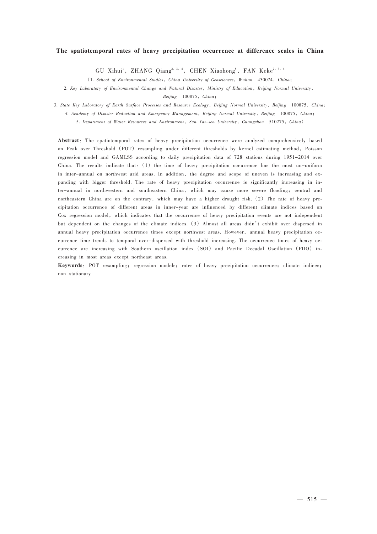#### The spatiotemporal rates of heavy precipitation occurrence at difference scales in China

GU Xihui<sup>1</sup>, ZHANG Qiang<sup>2, 3, 4</sup>, CHEN Xiaohong<sup>5</sup>, FAN Keke<sup>2, 3, 4</sup>

(1. School of Environmental Studies, China University of Geosciences, Wuhan 430074, China;

2. Key Laboratory of Environmental Change and Natural Disaster, Ministry of Education, Beijing Normal University,

Beijing 100875, China;

3. State Key Laboratory of Earth Surface Processes and Resource Ecology, Beijing Normal University, Beijing 100875, China;

4. Academy of Disaster Reduction and Emergency Management, Beijing Normal University, Beijing 100875, China;

5. Department of Water Resources and Environment, Sun Yat-sen University, Guangzhou 510275, China)

Abstract: The spatiotemporal rates of heavy precipitation occurrence were analyzed comprehensively based on Peak-over-Threshold (POT) resampling under different thresholds by kernel estimating method, Poisson regression model and GAMLSS according to daily precipitation data of 728 stations during 1951-2014 over China. The results indicate that:  $(1)$  the time of heavy precipitation occurrence has the most un-uniform in inter-annual on northwest arid areas. In addition, the degree and scope of uneven is increasing and expanding with bigger threshold. The rate of heavy precipitation occurrence is significantly increasing in inter-annual in northwestern and southeastern China, which may cause more severe flooding; central and northeastern China are on the contrary, which may have a higher drought risk. (2) The rate of heavy precipitation occurrence of different areas in inner-year are influenced by different climate indices based on Cox regression model, which indicates that the occurrence of heavy precipitation events are not independent but dependent on the changes of the climate indices. (3) Almost all areas didn't exhibit over-dispersed in annual heavy precipitation occurrence times except northwest areas. However, annual heavy precipitation occurrence time trends to temporal over-dispersed with threshold increasing. The occurrence times of heavy occurrence are increasing with Southern oscillation index (SOI) and Pacific Decadal Oscillation (PDO) increasing in most areas except northeast areas.

Keywords: POT resampling; regression models; rates of heavy precipitation occurrence; climate indices; non-stationary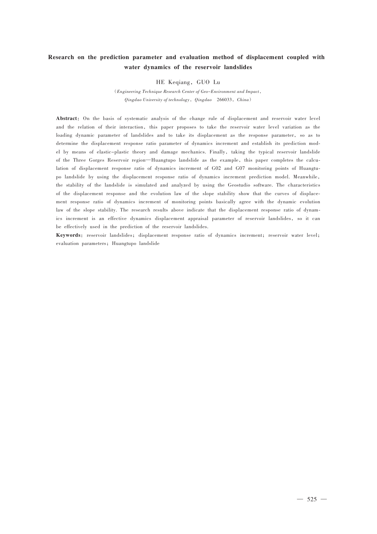## Research on the prediction parameter and evaluation method of displacement coupled with water dynamics of the reservoir landslides

HE Kegiang, GUO Lu

(Engineering Technique Research Center of Geo-Environment and Impact, Qingdao University of technology,Qingdao 266033,China)

Abstract: On the basis of systematic analysis of the change rule of displacement and reservoir water level and the relation of their interaction, this paper proposes to take the reservoir water level variation as the loading dynamic parameter of landslides and to take its displacement as the response parameter, so as to determine the displacement response ratio parameter of dynamics increment and establish its prediction model by means of elastic-plastic theory and damage mechanics. Finally, taking the typical reservoir landslide of the Three Gorges Reservoir region—Huangtupo landslide as the example, this paper completes the calculation of displacement response ratio of dynamics increment of G02 and G07 monitoring points of Huangtupo landslide by using the displacement response ratio of dynamics increment prediction model. Meanwhile, the stability of the landslide is simulated and analyzed by using the Geostudio software. The characteristics of the displacement response and the evolution law of the slope stability show that the curves of displacement response ratio of dynamics increment of monitoring points basically agree with the dynamic evolution law of the slope stability. The research results above indicate that the displacement response ratio of dynamics increment is an effective dynamics displacement appraisal parameter of reservoir landslides, so it can be effectively used in the prediction of the reservoir landslides.

Keywords: reservoir landslides; displacement response ratio of dynamics increment; reservoir water level; evaluation parameters; Huangtupo landslide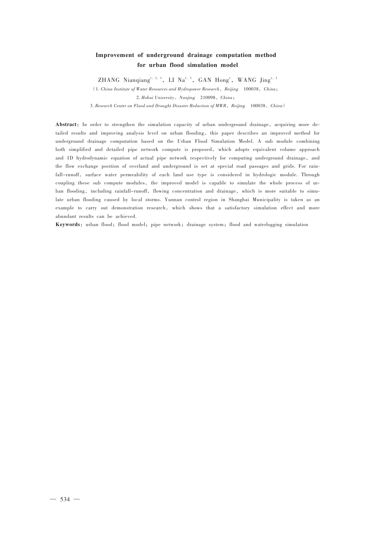## Improvement of underground drainage computation method for urban flood simulation model

ZHANG Nianqiang $^{1, 2, 3}$ , LI Na<sup>1, 3</sup>, GAN Hong<sup>1</sup>, WANG Jing<sup>1, 3</sup>

 $(1. China Institute of Water Resources and Hydropower Research, Beijing 100038, China;$ 2. Hohai University, Nanjing 210098, China;

3. Research Center on Flood and Drought Disaster Reduction of MWR, Beijing 100038, China)

Abstract: In order to strengthen the simulation capacity of urban underground drainage, acquiring more detailed results and improving analysis level on urban flooding, this paper describes an improved method for underground drainage computation based on the Urban Flood Simulation Model. A sub module combining both simplified and detailed pipe network compute is proposed, which adopts equivalent volume approach and 1D hydrodynamic equation of actual pipe network respectively for computing underground drainage, and the flow exchange position of overland and underground is set at special road passages and grids. For rainfall-runoff, surface water permeability of each land use type is considered in hydrologic module. Through coupling these sub compute modules, the improved model is capable to simulate the whole process of urban flooding, including rainfall-runoff, flowing concentration and drainage, which is more suitable to simulate urban flooding caused by local storms. Yunnan control region in Shanghai Municipality is taken as an example to carry out demonstration research, which shows that a satisfactory simulation effect and more abundant results can be achieved.

Keywords: urban flood; flood model; pipe network; drainage system; flood and waterlogging simulation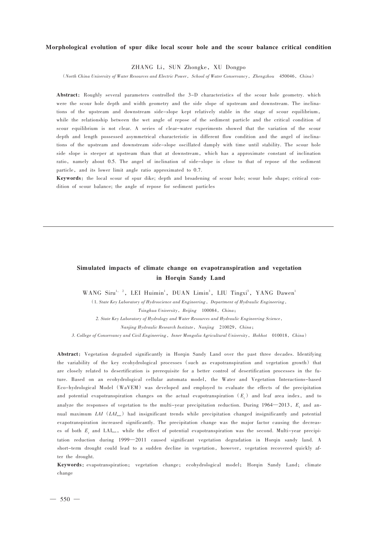#### Morphological evolution of spur dike local scour hole and the scour balance critical condition

ZHANG Li, SUN Zhongke, XU Dongpo

(North China University of Water Resources and Electric Power, School of Water Conservancy, Zhengzhou 450046, China)

Abstract: Roughly several parameters controlled the 3-D characteristics of the scour hole geometry, which were the scour hole depth and width geometry and the side slope of upstream and downstream. The inclinations of the upstream and downstream side-slope kept relatively stable in the stage of scour equilibrium, while the relationship between the wet angle of repose of the sediment particle and the critical condition of scour equilibrium is not clear. A series of clear-water experiments showed that the variation of the scour depth and length possessed asymmetrical characteristic in different flow condition and the angel of inclinations of the upstream and downstream side-slope oscillated damply with time until stability. The scour hole side slope is steeper at upstream than that at downstream, which has a approximate constant of inclination ratio, namely about 0.5. The angel of inclination of side-slope is close to that of repose of the sediment particle, and its lower limit angle ratio approximated to 0.7.

Keywords: the local scour of spur dike; depth and broadening of scour hole; scour hole shape; critical condition of scour balance; the angle of repose for sediment particles

## Simulated impacts of climate change on evapotranspiration and vegetation in Horqin Sandy Land

WANG Siru<sup>1, 2</sup>, LEI Huimin<sup>1</sup>, DUAN Limin<sup>3</sup>, LIU Tingxi<sup>3</sup>, YANG Dawen<sup>1</sup>

(1. State Key Laboratory of Hydroscience and Engineering, Department of Hydraulic Engineering, Tsinghua University, Beijing 100084, China;

2. State Key Laboratory of Hydrology and Water Resources and Hydraulic Engineering Science,

Nanjing Hydraulic Research Institute, Nanjing 210029, China;

3. College of Conservancy and Civil Engineering, Inner Mongolia Agricultural University, Hohhot 010018, China)

Abstract: Vegetation degraded significantly in Horqin Sandy Land over the past three decades. Identifying the variability of the key ecohydrological processes (such as evapotranspiration and vegetation growth) that are closely related to desertification is prerequisite for a better control of desertification processes in the future. Based on an ecohydrological cellular automata model, the Water and Vegetation Interactions-based Eco-hydrological Model (WaVEM) was developed and employed to evaluate the effects of the precipitation and potential evapotranspiration changes on the actual evapotranspiration  $(E_{\tau})$  and leaf area index, and to analyze the responses of vegetation to the multi-year precipitation reduction. During  $1964 - 2013$ ,  $E<sub>1</sub>$  and annual maximum LAI ( $LAI_{\text{max}}$ ) had insignificant trends while precipitation changed insignificantly and potential evapotranspiration increased significantly. The precipitation change was the major factor causing the decreases of both *E*, and LAI<sub>max</sub>, while the effect of potential evapotranspiration was the second. Multi-year precipitation reduction during 1999—2011 caused significant vegetation degradation in Horqin sandy land. A short-term drought could lead to a sudden decline in vegetation, however, vegetation recovered quickly after the drought.

Keywords:evapotranspiration; vegetation change; ecohydrological model; Horqin Sandy Land; climate change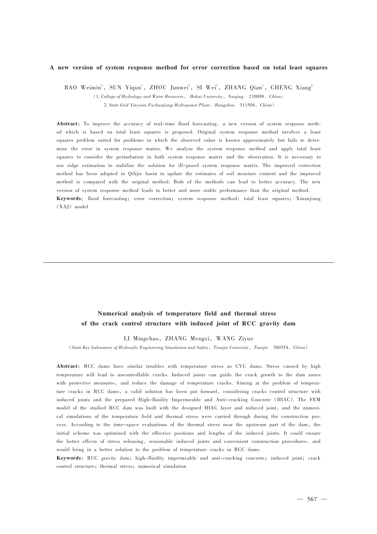#### A new version of system response method for error correction based on total least squares

BAO Weimin<sup>1</sup>, SUN Yiqun<sup>1</sup>, ZHOU Junwei<sup>1</sup>, SI Wei<sup>1</sup>, ZHANG Qian<sup>1</sup>, CHENG Xiang<sup>2</sup>  $(1.$  College of Hydrology and Water Resources, Hohai University, Nanjing 210098, China; 2. State Grid Xinyuan Fuchunjiang Hydropower Plant, Hangzhou 311504, China)

Abstract: To improve the accuracy of real-time flood forecasting, a new version of system response method which is based on total least squares is proposed. Original system response method involves a least squares problem suited for problems in which the observed value is known approximately but fails to determine the error in system response matrix. We analyze the system response method and apply total least squares to consider the perturbation in both system response matrix and the observation. It is necessary to use ridge estimation to stabilize the solution for ill-posed system response matrix. The improved correction method has been adopted in Qilijie basin to update the estimates of soil moisture content and the improved method is compared with the original method. Both of the methods can lead to better accuracy. The new version of system response method leads to better and more stable performance than the original method. Keywords: flood forecasting; error correction; system response method; total least squares; Xinanjiang (XAJ) model

## Numerical analysis of temperature field and thermal stress of the crack control structure with induced joint of RCC gravity dam

LI Mingchao, ZHANG Mengxi, WANG Ziyue

(State Key Laboratory of Hydraulic Engineering Simulation and Safety,Tianjin University,Tianjin 300354,China)

Abstract: RCC dams have similar troubles with temperature stress as CVC dams. Stress caused by high temperature will lead to uncontrollable cracks. Induced joints can guide the crack growth to the dam zones with protective measures, and reduce the damage of temperature cracks. Aiming at the problem of temperature cracks in RCC dams, a valid solution has been put forward, considering cracks control structure with induced joints and the prepared High-fluidity Impermeable and Anti-cracking Concrete (HIAC). The FEM model of the studied RCC dam was built with the designed HIAC layer and induced joint, and the numerical simulations of the temperature field and thermal stress were carried through during the construction process. According to the time-space evaluations of the thermal stress near the upstream part of the dam, the initial scheme was optimized with the effective positions and lengths of the induced joints. It could ensure the better effects of stress releasing, reasonable induced joints and convenient construction procedures, and would bring in a better solution to the problem of temperature cracks in RCC dams.

Keywords: RCC gravity dam; high-fluidity impermeable and anti-cracking concrete; induced joint; crack control structure; thermal stress; numerical simulation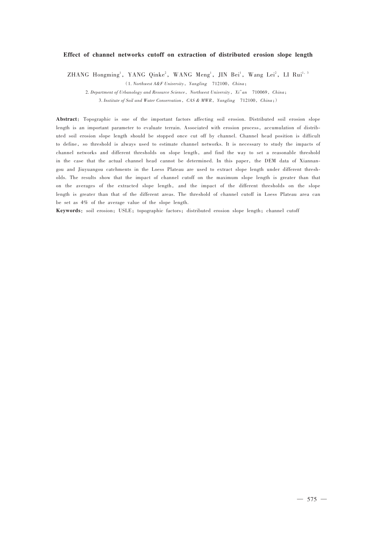#### Effect of channel networks cutoff on extraction of distributed erosion slope length

 $ZHANG$  Hongming<sup>1</sup>, YANG Qinke<sup>2</sup>, WANG Meng<sup>1</sup>, JIN Bei<sup>1</sup>, Wang Lei<sup>2</sup>, LI Rui<sup>1, 3</sup>

 $(1. \text{Northwest } A \& F \text{ University}, \text{Yangling } 712100, \text{ China};$ 

2. Department of Urbanology and Resource Science, Northwest University, Xi'an 710069, China;

3. Institute of Soil and Water Conservation,  $CAS & MWR$ , Yangling 712100,  $China;$ )

Abstract: Topographic is one of the important factors affecting soil erosion. Distributed soil erosion slope length is an important parameter to evaluate terrain. Associated with erosion process, accumulation of distributed soil erosion slope length should be stopped once cut off by channel. Channel head position is difficult to define, so threshold is always used to estimate channel networks. It is necessary to study the impacts of channel networks and different thresholds on slope length, and find the way to set a reasonable threshold in the case that the actual channel head cannot be determined. In this paper, the DEM data of Xiannangou and Jiuyuangou catchments in the Loess Plateau are used to extract slope length under different thresholds. The results show that the impact of channel cutoff on the maximum slope length is greater than that on the averages of the extracted slope length, and the impact of the different thresholds on the slope length is greater than that of the different areas. The threshold of channel cutoff in Loess Plateau area can be set as 4% of the average value of the slope length.

Keywords: soil erosion; USLE; topographic factors; distributed erosion slope length; channel cutoff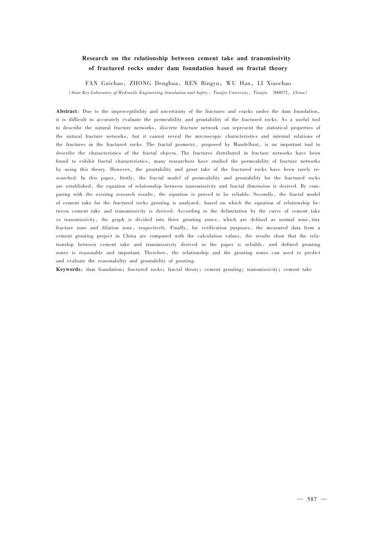## Research on the relationship between cement take and transmissivity of fractured rocks under dam foundation based on fractal theory

FAN Guichao, ZHONG Denghua, REN Bingyu, WU Han, LI Xiaochao (State Key Laboratory of Hydraulic Engineering Simulation and Safety, Tianjin University, Tianjin 300072, China)

Abstract: Due to the imperceptibility and uncertainty of the fractures and cracks under the dam foundation, it is difficult to accurately evaluate the permeability and groutability of the fractured rocks. As a useful tool to describe the natural fracture networks, discrete fracture network can represent the statistical properties of the natural fracture networks, but it cannot reveal the microscopic characteristics and internal relations of the fractures in the fractured rocks. The fractal geometry, proposed by Mandelbrot, is an important tool to describe the characteristics of the fractal objects. The fractures distributed in fracture networks have been found to exhibit fractal characteristics, many researchers have studied the permeability of fracture networks by using this theory. However, the groutability and grout take of the fractured rocks have been rarely researched. In this paper, firstly, the fractal model of permeability and groutability for the fractured rocks are established, the equation of relationship between transmissivity and fractal dimension is derived. By comparing with the existing research results, the equation is proved to be reliable. Secondly, the fractal model of cement take for the fractured rocks grouting is analyzed, based on which the equation of relationship between cement take and transmissivity is derived. According to the delimitation by the curve of cement take vs transmissivity, the graph is divided into three grouting zones, which are defined as normal zone,tiny fracture zone and dilation zone, respectively. Finally, for verification purposes, the measured data from a cement grouting project in China are compared with the calculation values, the results show that the relationship between cement take and transmissivity derived in the paper is reliable, and defined grouting zones is reasonable and important. Therefore, the relationship and the grouting zones can used to predict and evaluate the reasonability and groutability of grouting.

Keywords: dam foundation; fractured rocks; fractal theory; cement grouting; transmissivity; cement take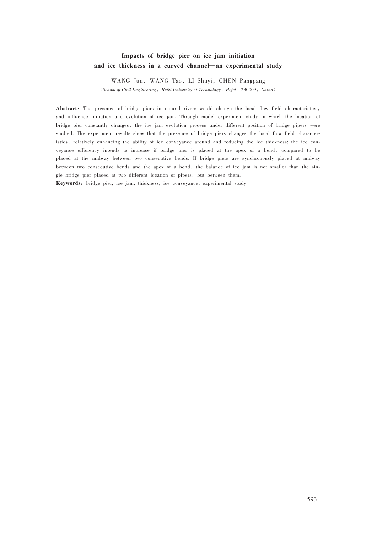## Impacts of bridge pier on ice jam initiation and ice thickness in a curved channel—an experimental study

WANG Jun, WANG Tao, LI Shuyi, CHEN Pangpang

(School of Civil Engineering, Hefei University of Technology, Hefei 230009, China)

Abstract: The presence of bridge piers in natural rivers would change the local flow field characteristics, and influence initiation and evolution of ice jam. Through model experiment study in which the location of bridge pier constantly changes, the ice jam evolution process under different position of bridge pipers were studied. The experiment results show that the presence of bridge piers changes the local flow field characteristics, relatively enhancing the ability of ice conveyance around and reducing the ice thickness; the ice conveyance efficiency intends to increase if bridge pier is placed at the apex of a bend, compared to be placed at the midway between two consecutive bends. If bridge piers are synchronously placed at midway between two consecutive bends and the apex of a bend, the balance of ice jam is not smaller than the single bridge pier placed at two different location of pipers, but between them.

Keywords: bridge pier; ice jam; thickness; ice conveyance; experimental study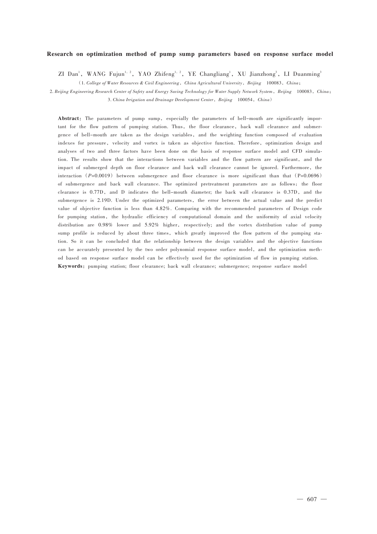#### Research on optimization method of pump sump parameters based on response surface model

ZI Dan<sup>1</sup>, WANG Fujun<sup>1,2</sup>, YAO Zhifeng<sup>1,2</sup>, YE Changliang<sup>1</sup>, XU Jianzhong<sup>3</sup>, LI Duanming<sup>3</sup>

(1. College of Water Resources & Civil Engineering, China Agricultural University, Beijing 100083, China;

2. Beijing Engineering Research Center of Safety and Energy Saving Technology for Water Supply Network System, Beijing 100083, China; 3. China Irrigation and Drainage Development Center, Beijing 100054, China)

Abstract: The parameters of pump sump, especially the parameters of bell-mouth are significantly important for the flow pattern of pumping station. Thus, the floor clearance, back wall clearance and submergence of bell-mouth are taken as the design variables, and the weighting function composed of evaluation indexes for pressure, velocity and vortex is taken as objective function. Therefore, optimization design and analyses of two and three factors have been done on the basis of response surface model and CFD simulation. The results show that the interactions between variables and the flow pattern are significant, and the impact of submerged depth on floor clearance and back wall clearance cannot be ignored. Furthermore, the interaction  $(P=0.0019)$  between submergence and floor clearance is more significant than that  $(P=0.0696)$ of submergence and back wall clearance. The optimized pretreatment parameters are as follows: the floor clearance is 0.77D, and D indicates the bell-mouth diameter; the back wall clearance is 0.37D, and the submergence is 2.19D. Under the optimized parameters, the error between the actual value and the predict value of objective function is less than 4.82%. Comparing with the recommended parameters of Design code for pumping station, the hydraulic efficiency of computational domain and the uniformity of axial velocity distribution are 0.98% lower and 5.92% higher, respectively; and the vortex distribution value of pump sump profile is reduced by about three times, which greatly improved the flow pattern of the pumping station. So it can be concluded that the relationship between the design variables and the objective functions can be accurately presented by the two order polynomial response surface model, and the optimization method based on response surface model can be effectively used for the optimization of flow in pumping station. Keywords: pumping station; floor clearance; back wall clearance; submergence; response surface model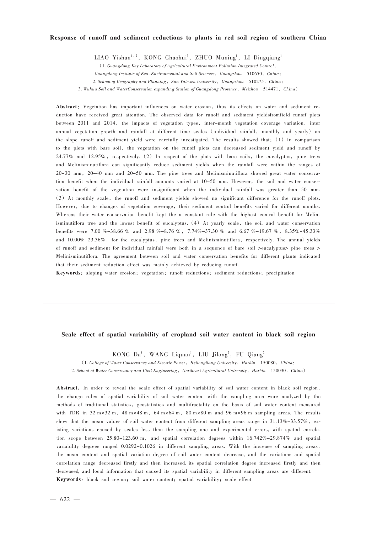#### Response of runoff and sediment reductions to plants in red soil region of southern China

LIAO Yishan<sup>1, 2</sup>, KONG Chaohui<sup>3</sup>, ZHUO Muning<sup>1</sup>, LI Dingqiang<sup>1</sup>

(1. Guangdong Key Laboratory of Agricultural Environment Pollution Integrated Control, Guangdong Institute of Eco-Environmental and Soil Sciences, Guangzhou 510650, China; 2. School of Geography and Planning, Sun Yat-sen University, Guangzhou 510275, China; 3. Wuhua Soil and WaterConservation expanding Station of Guangdong Province, Meizhou 514471, China)

Abstract: Vegetation has important influences on water erosion, thus its effects on water and sediment reduction have received great attention. The observed data for runoff and sediment yieldsfromfield runoff plots between 2011 and 2014, the impacts of vegetation types, inter-month vegetation coverage variation, inter annual vegetation growth and rainfall at different time scales (individual rainfall, monthly and yearly) on the slope runoff and sediment yield were carefully investigated. The results showed that:(1) In comparison to the plots with bare soil, the vegetation on the runoff plots can decreased sediment yield and runoff by 24.77% and 12.95%, respectively. (2) In respect of the plots with bare soils, the eucalyptus, pine trees and Melinisminutiflora can significantly reduce sediment yields when the rainfall were within the ranges of 20-30 mm, 20-40 mm and 20-50 mm. The pine trees and Melinisminutiflora showed great water conservation benefit when the individual rainfall amounts varied at 10-50 mm. However, the soil and water conservation benefit of the vegetation were insignificant when the individual rainfall was greater than 50 mm. (3) At monthly scale, the runoff and sediment yields showed no significant difference for the runoff plots. However, due to changes of vegetation coverage, their sediment control benefits varied for different months. Whereas their water conservation benefit kept the a constant rule with the highest control benefit for Melinisminutiflora tree and the lowest benefit of eucalyptus. (4) At yearly scale, the soil and water conservation benefits were 7.00 %-38.66 % and 2.98 %-8.76 % , 7.74%-37.30 % and 6.67 %-19.67 % , 8.35%-45.33% and 10.00%-23.36%, for the eucalyptus, pine trees and Melinisminutiflora, respectively. The annual yields of runoff and sediment for individual rainfall were both in a sequence of bare soil >eucalyptus> pine trees > Melinisminutiflora. The agreement between soil and water conservation benefits for different plants indicated that their sediment reduction effect was mainly achieved by reducing runoff.

Keywords: sloping water erosion; vegetation; runoff reductions; sediment reductions; precipitation

#### Scale effect of spatial variability of cropland soil water content in black soil region

KONG Da<sup>1</sup>, WANG Liquan<sup>1</sup>, LIU Jilong<sup>2</sup>, FU Qiang<sup>2</sup>

(1. College of Water Conservancy and Electric Power, Heilongjiang University, Harbin 150080, China;

2. School of Water Conservancy and Civil Engineering, Northeast Agricultural University, Harbin 150030, China)

Abstract: In order to reveal the scale effect of spatial variability of soil water content in black soil region, the change rules of spatial variability of soil water content with the sampling area were analyzed by the methods of traditional statistics, geostatistics and multifractality on the basis of soil water content measured with TDR in 32 m×32 m, 48 m×48 m, 64 m×64 m, 80 m×80 m and 96 m×96 m sampling areas. The results show that the mean values of soil water content from different sampling areas range in 31.13%-33.57%, existing variations caused by scales less than the sampling one and experimental errors, with spatial correlation scope between 25.80-123.60 m, and spatial correlation degrees within 16.742%-29.874% and spatial variability degrees ranged 0.0292-0.1026 in different sampling areas. With the increase of sampling areas, the mean content and spatial variation degree of soil water content decrease, and the variations and spatial correlation range decreased firstly and then increased, its spatial correlation degree increased firstly and then decreased,and local information that caused its spatial variability in different sampling areas are different. Keywords: black soil region; soil water content; spatial variability; scale effect